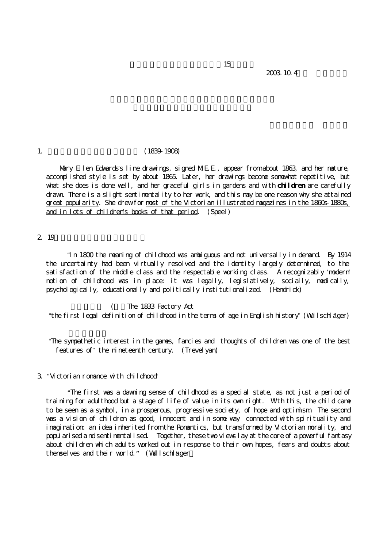2003.10.4

#### 1. (1839-1908)

Mary Ellen Edwards's line drawings, signed M.E.E., appear from about 1863, and her mature, accomplished style is set by about 1865. Later, her drawings become somewhat repetitive, but what she does is done well, and her graceful girls in gardens and with **children** are carefully drawn. There is a slight sentimentality to her work, and this may be one reason why she attained great popularity. She drew for most of the Victorian illustrated magazines in the 1860s-1880s, and in lots of children's books of that period. (Speel)

 $15$ 

# 2 19

 "In 1800 the meaning of childhood was ambiguous and not universally in demand. By 1914 the uncertainty had been virtually resolved and the identity largely determined, to the satisfaction of the middle class and the respectable working class. A recognizably 'modern' notion of childhood was in place: it was legally, legislatively, socially, medically,  $p$ sychologically, educationally and politically institutionalized. (Hendrick)

(The 1833 Factory Act "the first legal definition of childhood in the terms of age in English history" (Wullschläger)

"The sympathetic interest in the games, fancies and thoughts of children was one of the best features of" the nineteenth century. (Trevelyan)

## 3. "Victorian romance with childhood"

 "The first was a dawning sense of childhood as a special state, as not just a period of training for adulthood but a stage of life of value in its own right. With this, the child came to be seen as a symbol, in a prosperous, progressive society, of hope and optimism. The second was a vision of children as good, innocent and in some way connected with spirituality and imagination: an idea inherited from the Romantics, but transformed by Victorian morality, and popularised a nd sentimentalised. Together, these two views lay at the core of a powerful fantasy about children which adults worked out in response to their own hopes, fears and doubts about themselves and their world." (Wullschläger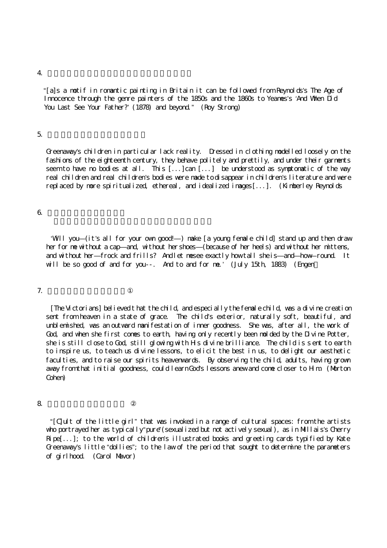#### $4.$

"[a]s a motif in romantic painting in Britain it can be followed from Reynolds's *The Age of*  Innocence through the genre painters of the 1850s and the 1860s to Yeames's *'*And When Did You Last See Your Father?<sup>'</sup> (1878) and beyond." (Roy Strong)

#### $5\,$

Greenaway's children in particular lack reality. Dressed in clothing modelled loosely on the fashions of the eighteenth century, they behave politely and prettily, and under their garments seem to have no bodies at all. This [...]can [...] be understood as symptomatic of the way real children and real children's bodies were made to disappear in children's literature and were replaced by more spiritualized, ethereal, and idealized images[...]. (Kimberley Reynolds

#### $6.$   $\sigma$

 'Will you—(it's all for your own good!—) make [a young female child] stand up and then draw her for me without a cap—and, without her shoes—(because of her heels) and without her mittens, and without her—frock and frills? And let mesee exactly how tall she is—and—how-round It will be so good of and for you--. And to and for me.' (July 15th, 1883) (Engen

#### 7. **Contract to the set of the set of the set of the set of the set of the set of the set of the set of the set of the set of the set of the set of the set of the set of the set of the set of the set of the set of the set**

 [The Victorians] believed t hat the child, and especially the female child, was a divine creation sent from heaven in a state of grace. The child's exterior, naturally soft, beautiful, and unblemished, was an outward manifestation of inner goodness. She was, after all, the work of God, and when she first comes to earth, having only recently been molded by the Divine Potter, she is still close to God, still glowing with Hs divine brilliance. The child is s ent to earth to inspire us, to teach us divine lessons, to elicit the best in us, to delight our aesthetic faculties, and to raise our spirits heavenwards. By observing the child, adults, having grown away from that initial goodness, could learn God's lessons anew and come closer to Hm (Morton Cohen)

### $8\,$

 "[C]ult of the little girl" that was invoked in a range of cultural spaces: from the artists who portrayed her as typically "pure" (sexualized but not actively sexual), as in Millais's Cherry  $Ripel...$ ]; to the world of children's illustrated books and greeting cards typified by Kate Greenaway's little "dollies"; to the law of the period that sought to determine the parameters of girlhood. (Carol Mavor)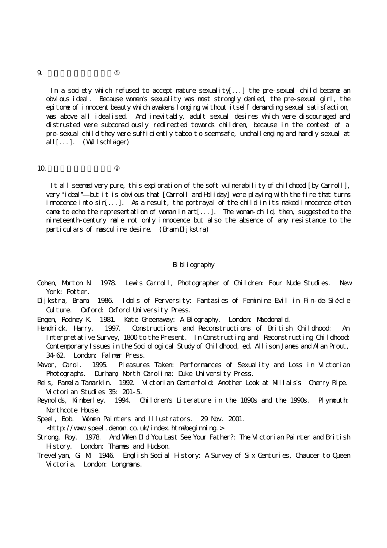In a society which refused to accept mature sexuality[...] the pre-sexual child became an obvious ideal. Because women's sexuality was most strongly denied, the pre-sexual girl, the epitome of innocent beauty which awakens longing w ithout itself demanding sexual satisfaction, was above all idealised. And inevitably, adult sexual desires which were discouraged and distrusted were subconsciously redirected towards children, because in the context of a pre-sexual child they were sufficiently taboo t o seem safe, unchallenging and hardly sexual at all[...]. (Wullschläger)

### $1\Omega$

 It all seemed very pure, this exploration of the soft vulnerability of childhood [by Carroll], very "ideal"—but it is obvious that [Carroll and Holiday] were playing with the fire that turns innocence into sin[...]. As a result, the portrayal of the child in its naked innocence often came to echo the representation of woman in art[...]. The woman-child, then, suggested to the nineteenth-century male not only innocence but also the absence of any resistance to the particulars of masculine desire.  $($ Bram  $D$ j kstra)

## Bibliography

- Cohen, Morton N. 1978. Lewis Carroll, Photographer of Children: Four Nude Studies. New York: Potter.
- Dijkstra, Bram. 1986. Idols of Perversity: Fantasies of Feminine Evil in Fin-de-Si*è*cle Gulture. Oxford: Oxford University Press.

Engen, Rodney K. 1981. Kate Greenaway: A Biography. London: Macdonald.

Hendrick, Harry. 1997. Constructions and Reconstructions of British Childhood: An Interpretative Survey, 1800 to the Present. In Constructing and Reconstructing Childhood: Contemporary Issues in the Sociological Study of Childhood, ed. Allison James and Alan Prout, 34-62. London: Falmer Press.

Mavor, Carol. 1995. Pleasures Taken: Performances of Sexuality and Loss in Victorian Photographs. Durham, North Carolina: Duke University Press.

- Reis, Pamela Tamarkin. 1992. Victorian Centerfold: Another Look at Millais's Cherry Ripe. Victorian Studies 35: 201-5.
- Reynolds, Kimberley. 1994. Children*'*s Literature in the 1890s and the 1990s. Plymouth: Northcote Huse.
- Speel, Bob. Women Painters and Illustrators. 29 Nov. 2001.

<http://www.speel.demon.co.uk/index.htm#beginning.>

- Strong, Roy. 1978. And When Did You Last See Your Father?: The Victorian Painter and British Hstory. London: Thanes and Hudson.
- Trevelyan, G. M. 1946. English Social History: A Survey of Six Centuries, Chaucer to Queen Victoria. London: Longmans.